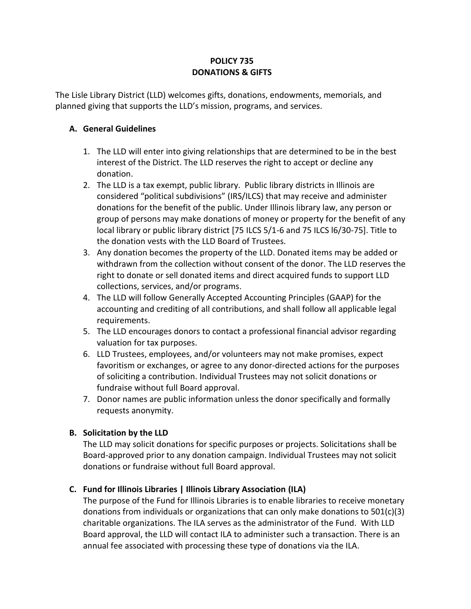# **POLICY 735 DONATIONS & GIFTS**

The Lisle Library District (LLD) welcomes gifts, donations, endowments, memorials, and planned giving that supports the LLD's mission, programs, and services.

#### **A. General Guidelines**

- 1. The LLD will enter into giving relationships that are determined to be in the best interest of the District. The LLD reserves the right to accept or decline any donation.
- 2. The LLD is a tax exempt, public library. Public library districts in Illinois are considered "political subdivisions" (IRS/ILCS) that may receive and administer donations for the benefit of the public. Under Illinois library law, any person or group of persons may make donations of money or property for the benefit of any local library or public library district [75 ILCS 5/1-6 and 75 ILCS l6/30-75]. Title to the donation vests with the LLD Board of Trustees.
- 3. Any donation becomes the property of the LLD. Donated items may be added or withdrawn from the collection without consent of the donor. The LLD reserves the right to donate or sell donated items and direct acquired funds to support LLD collections, services, and/or programs.
- 4. The LLD will follow Generally Accepted Accounting Principles (GAAP) for the accounting and crediting of all contributions, and shall follow all applicable legal requirements.
- 5. The LLD encourages donors to contact a professional financial advisor regarding valuation for tax purposes.
- 6. LLD Trustees, employees, and/or volunteers may not make promises, expect favoritism or exchanges, or agree to any donor-directed actions for the purposes of soliciting a contribution. Individual Trustees may not solicit donations or fundraise without full Board approval.
- 7. Donor names are public information unless the donor specifically and formally requests anonymity.

# **B. Solicitation by the LLD**

The LLD may solicit donations for specific purposes or projects. Solicitations shall be Board-approved prior to any donation campaign. Individual Trustees may not solicit donations or fundraise without full Board approval.

# **C. Fund for Illinois Libraries | Illinois Library Association (ILA)**

The purpose of the Fund for Illinois Libraries is to enable libraries to receive monetary donations from individuals or organizations that can only make donations to  $501(c)(3)$ charitable organizations. The ILA serves as the administrator of the Fund. With LLD Board approval, the LLD will contact ILA to administer such a transaction. There is an annual fee associated with processing these type of donations via the ILA.